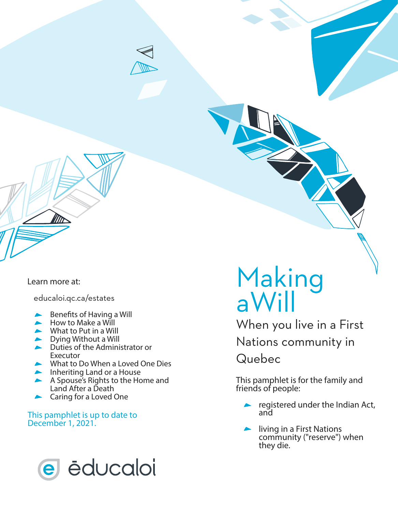Learn more at:

educaloi.qc.ca/estates

- Benefits of Having a Will
- How to Make a Will
- What to Put in a Will
- **Dying Without a Will**
- **Duties of the Administrator or Executor**
- What to Do When a Loved One Dies
- **Inheriting Land or a House**
- A Spouse's Rights to the Home and Land After a Death
- Caring for a Loved One

This pamphlet is up to date to December 1, 2021.



## Making aWill

When you live in a First Nations community in

Quebec

This pamphlet is for the family and friends of people:

- registered under the *Indian Act,* and
- **No. 1.** living in a First Nations community ("reserve") when they die.